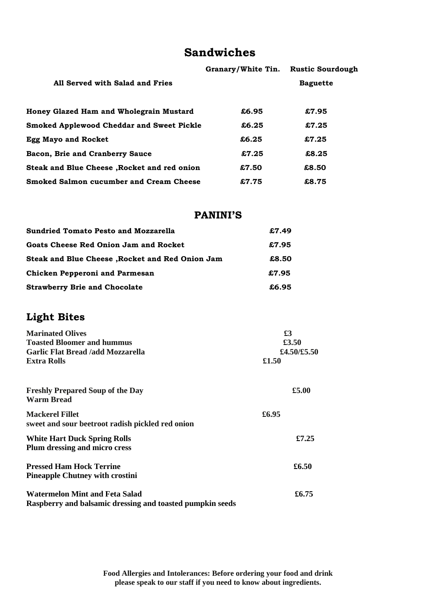# **Sandwiches**

|                                                  | Granary/White Tin. | <b>Rustic Sourdough</b> |
|--------------------------------------------------|--------------------|-------------------------|
| All Served with Salad and Fries                  |                    | <b>Baguette</b>         |
| Honey Glazed Ham and Wholegrain Mustard          | £6.95              | £7.95                   |
| <b>Smoked Applewood Cheddar and Sweet Pickle</b> | £6.25              | £7.25                   |
| <b>Egg Mayo and Rocket</b>                       | £6.25              | £7.25                   |
| Bacon, Brie and Cranberry Sauce                  | £7.25              | £8.25                   |
| Steak and Blue Cheese, Rocket and red onion      | £7.50              | £8.50                   |
| <b>Smoked Salmon cucumber and Cream Cheese</b>   | £7.75              | £8.75                   |

### **PANINI'S**

| <b>Sundried Tomato Pesto and Mozzarella</b>     | £7.49 |
|-------------------------------------------------|-------|
| Goats Cheese Red Onion Jam and Rocket           | £7.95 |
| Steak and Blue Cheese, Rocket and Red Onion Jam | £8.50 |
| Chicken Pepperoni and Parmesan                  | £7.95 |
| <b>Strawberry Brie and Chocolate</b>            | £6.95 |

## **Light Bites**

| <b>Marinated Olives</b>                                                                            | £3<br>£3.50<br>£4.50/£5.50 |  |
|----------------------------------------------------------------------------------------------------|----------------------------|--|
| <b>Toasted Bloomer and hummus</b>                                                                  |                            |  |
| <b>Garlic Flat Bread /add Mozzarella</b>                                                           |                            |  |
| <b>Extra Rolls</b>                                                                                 | £1.50                      |  |
| <b>Freshly Prepared Soup of the Day</b><br><b>Warm Bread</b>                                       | £5.00                      |  |
| <b>Mackerel Fillet</b><br>sweet and sour beetroot radish pickled red onion                         | £6.95                      |  |
| <b>White Hart Duck Spring Rolls</b><br>Plum dressing and micro cress                               | £7.25                      |  |
| <b>Pressed Ham Hock Terrine</b><br><b>Pineapple Chutney with crostini</b>                          | £6.50                      |  |
| <b>Watermelon Mint and Feta Salad</b><br>Raspberry and balsamic dressing and toasted pumpkin seeds | £6.75                      |  |

**Food Allergies and Intolerances: Before ordering your food and drink please speak to our staff if you need to know about ingredients.**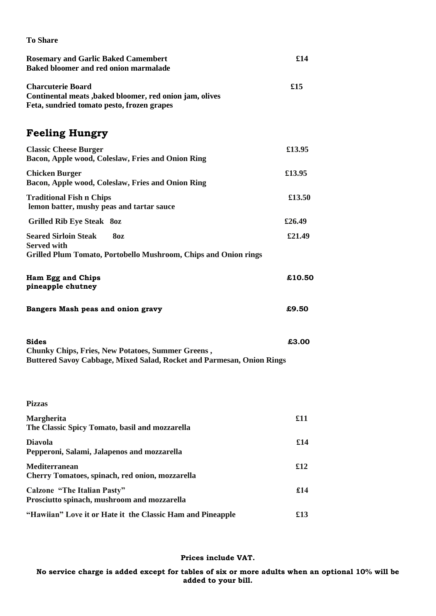| <b>To Share</b>                                                                                                                                   |             |
|---------------------------------------------------------------------------------------------------------------------------------------------------|-------------|
| <b>Rosemary and Garlic Baked Camembert</b><br>Baked bloomer and red onion marmalade                                                               | £14         |
| <b>Charcuterie Board</b><br>Continental meats, baked bloomer, red onion jam, olives<br>Feta, sundried tomato pesto, frozen grapes                 |             |
| <b>Feeling Hungry</b>                                                                                                                             |             |
| <b>Classic Cheese Burger</b><br>Bacon, Apple wood, Coleslaw, Fries and Onion Ring                                                                 | £13.95      |
| <b>Chicken Burger</b><br>Bacon, Apple wood, Coleslaw, Fries and Onion Ring                                                                        | £13.95      |
| <b>Traditional Fish n Chips</b><br>lemon batter, mushy peas and tartar sauce                                                                      | £13.50      |
| <b>Grilled Rib Eye Steak 80z</b>                                                                                                                  | £26.49      |
| <b>Seared Sirloin Steak</b><br><b>80z</b><br><b>Served with</b><br>Grilled Plum Tomato, Portobello Mushroom, Chips and Onion rings                | £21.49      |
| Ham Egg and Chips<br>pineapple chutney                                                                                                            | £10.50      |
| Bangers Mash peas and onion gravy                                                                                                                 | £9.50       |
| <b>Sides</b><br><b>Chunky Chips, Fries, New Potatoes, Summer Greens,</b><br>Buttered Savoy Cabbage, Mixed Salad, Rocket and Parmesan, Onion Rings | £3.00       |
| <b>Pizzas</b>                                                                                                                                     |             |
| <b>Margherita</b><br>The Classic Spicy Tomato, basil and mozzarella                                                                               | £11         |
| <b>Diavola</b><br>Pepperoni, Salami, Jalapenos and mozzarella                                                                                     | £14         |
| <b>Mediterranean</b><br>Cherry Tomatoes, spinach, red onion, mozzarella                                                                           | £12         |
| <b>Calzone "The Italian Pasty"</b><br>Prosciutto spinach, mushroom and mozzarella                                                                 | £14         |
| "Hawiian" Love it or Hate it the Classic Ham and Pineapple                                                                                        | $\pounds13$ |

#### **Prices include VAT.**

**No service charge is added except for tables of six or more adults when an optional 10% will be added to your bill.**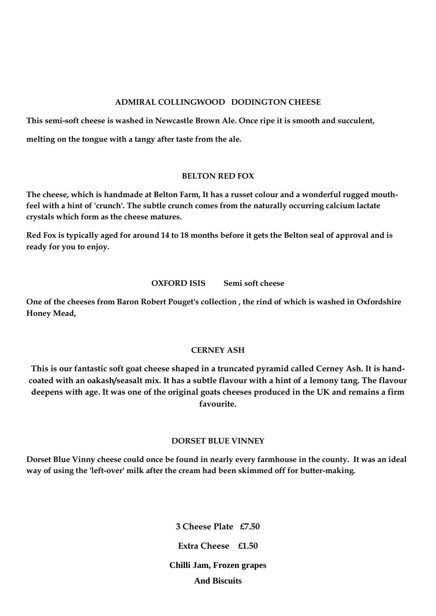#### **ADMIRAL COLLINGWOOD DODINGTON CHEESE**

**This semi-soft cheese is washed in Newcastle Brown Ale. Once ripe it is smooth and succulent,** 

**melting on the tongue with a tangy after taste from the ale.** 

#### **BELTON RED FOX**

**The cheese, which is handmade at Belton Farm, It has a russet colour and a wonderful rugged mouthfeel with a hint of 'crunch'. The subtle crunch comes from the naturally occurring calcium lactate crystals which form as the cheese matures.** 

**Red Fox is typically aged for around 14 to 18 months before it gets the Belton seal of approval and is ready for you to enjoy.**

#### **OXFORD ISIS** Semi soft cheese

**One of the cheeses from Baron Robert Pouget's collection , the rind of which is washed in Oxfordshire Honey Mead,**

#### **CERNEY ASH**

**This is our fantastic soft goat cheese shaped in a truncated pyramid called Cerney Ash. It is handcoated with an oakash/seasalt mix. It has a subtle flavour with a hint of a lemony tang. The flavour deepens with age. It was one of the original goats cheeses produced in the UK and remains a firm favourite.**

#### **DORSET BLUE VINNEY**

**Dorset Blue Vinny cheese could once be found in nearly every farmhouse in the county. It was an ideal way of using the 'left-over' milk after the cream had been skimmed off for butter-making.**

> **3 Cheese Plate £7.50 Extra Cheese £1.50 Chilli Jam, Frozen grapes And Biscuits**